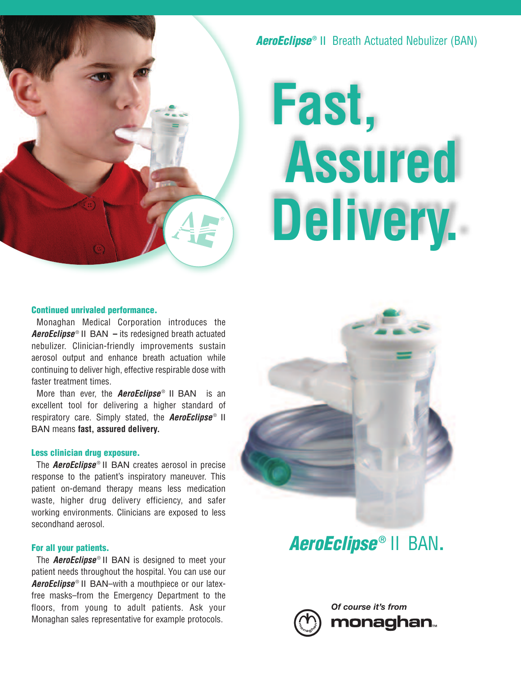

**AeroEclipse**<sup>®</sup> II Breath Actuated Nebulizer (BAN)

# **Fast, Assured Delivery.**

#### **Continued unrivaled performance.**

Monaghan Medical Corporation introduces the *AeroEclipse* II BAN – its redesigned breath actuated nebulizer. Clinician-friendly improvements sustain aerosol output and enhance breath actuation while continuing to deliver high, effective respirable dose with faster treatment times.

More than ever, the **AeroEclipse**<sup>®</sup> II BAN is an excellent tool for delivering a higher standard of respiratory care. Simply stated, the *AeroEclipse* ® II BAN means **fast, assured delivery.**

#### **Less clinician drug exposure.**

The *AeroEclipse* ® II BAN creates aerosol in precise response to the patient's inspiratory maneuver. This patient on-demand therapy means less medication waste, higher drug delivery efficiency, and safer working environments. Clinicians are exposed to less secondhand aerosol.

#### **For all your patients.**

The *AeroEclipse* II BAN is designed to meet your patient needs throughout the hospital. You can use our AeroEclipse<sup>®</sup> II BAN–with a mouthpiece or our latexfree masks–from the Emergency Department to the floors, from young to adult patients. Ask your Monaghan sales representative for example protocols.



## *AeroEclipse* **®** II BAN**.**